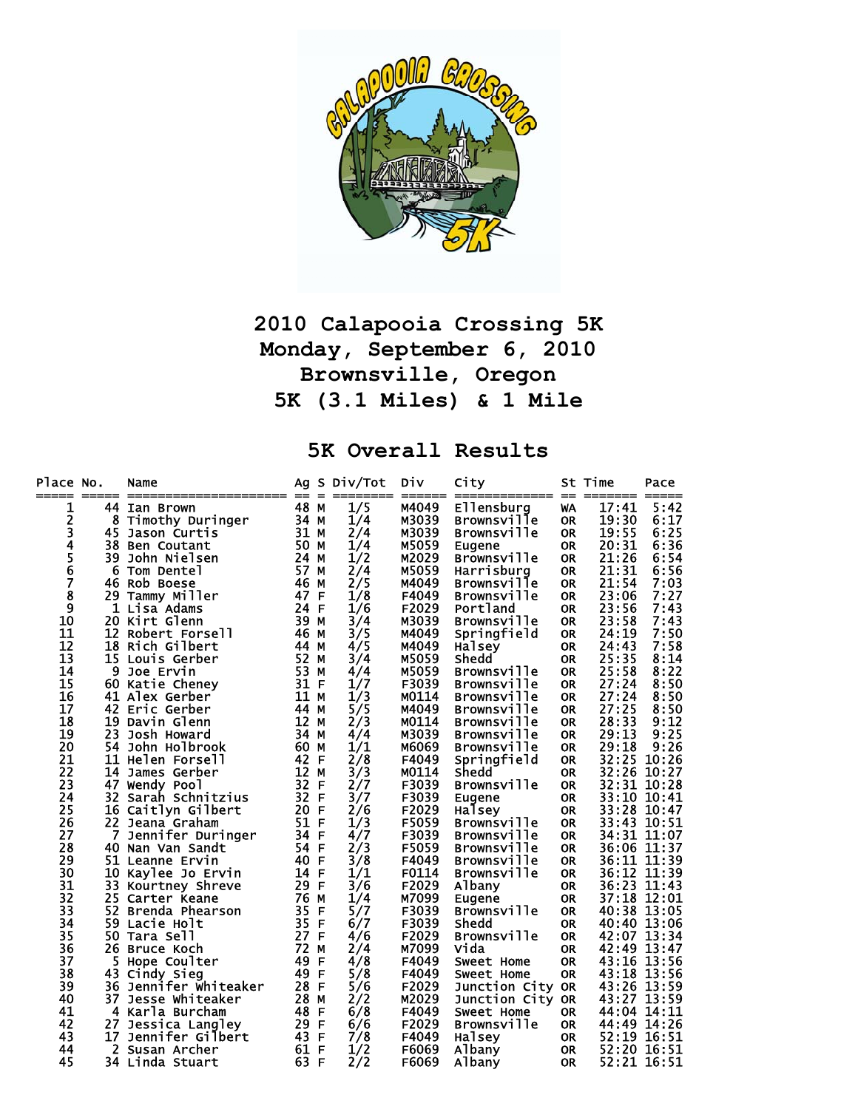

## **2010 Calapooia Crossing 5K Monday, September 6, 2010 Brownsville, Oregon 5K (3.1 Miles) & 1 Mile**

**5K Overall Results** 

| Place No.                  |    | Name                                       |                   |              | Ag S Div/Tot | Div            | City                           |                  | St Time                    | Pace  |
|----------------------------|----|--------------------------------------------|-------------------|--------------|--------------|----------------|--------------------------------|------------------|----------------------------|-------|
| 1                          |    | 44 Ian Brown                               | 48 M              |              | 1/5          | M4049          | Ellensburg                     | WA               | 17:41                      | 5:42  |
|                            |    | 8 Timothy Duringer                         | 34 M              |              | 1/4          | M3039          | <b>Brownsville</b>             | <b>OR</b>        | 19:30                      | 6:17  |
| 234567                     | 45 | Jason Curtis                               | 31 M              |              | 2/4          | M3039          | <b>Brownsville</b>             | <b>OR</b>        | 19:55                      | 6:25  |
|                            |    | 38 Ben Coutant                             | 50 M              |              | 1/4          | M5059          | Eugene                         | <b>OR</b>        | 20:31                      | 6:36  |
|                            | 39 | John Nielsen                               | 24 M              |              | 1/2          | M2029          | <b>Brownsville</b>             | <b>OR</b>        | 21:26                      | 6:54  |
|                            |    | 6 Tom Dentel                               | 57                | М            | 2/4          | M5059          | Harrisburg                     | <b>OR</b>        | 21:31                      | 6:56  |
|                            |    | 46 Rob Boese                               | 46                | М            | 2/5          | M4049          | <b>Brownsville</b>             | <b>OR</b>        | 21:54                      | 7:03  |
| 8                          |    | 29 Tammy Miller                            | 47 F              |              | 1/8          | F4049          | <b>Brownsville</b>             | 0R               | 23:06                      | 7:27  |
| 9                          |    | 1 Lisa Adams                               | 24 F              |              | 1/6          | F2029          | Portland                       | 0R               | 23:56                      | 7:43  |
| 10                         |    | 20 Kirt Glenn                              | 39                | M            | 3/4          | M3039          | <b>Brownsville</b>             | <b>OR</b>        | 23:58                      | 7:43  |
| 11                         |    | 12 Robert Forsell                          | 46                | М            | 3/5          | M4049          | Springfield                    | <b>OR</b>        | 24:19                      | 7:50  |
| 12                         |    | <b>18 Rich Gilbert</b>                     | 44                | М            | 4/5          | M4049          | Halsey                         | <b>OR</b>        | 24:43                      | 7:58  |
| 13                         |    | 15 Louis Gerber                            | 52                | М            | 3/4          | M5059          | Shedd                          | <b>OR</b>        | 25:35                      | 8:14  |
| 14                         |    | 9 Joe Ervin                                | 53                | М            | 4/4          | M5059          | <b>Brownsville</b>             | <b>OR</b>        | 25:58                      | 8:22  |
| 15                         |    | 60 Katie Cheney                            | 31 F              |              | 1/7          | F3039          | <b>Brownsville</b>             | 0R               | 27:24                      | 8:50  |
| 16                         |    | 41 Alex Gerber                             | 11                | М            | 1/3          | M0114          | <b>Brownsville</b>             | 0R               | 27:24                      | 8:50  |
| 17                         |    | 42 Eric Gerber                             | 44                | М            | 5/5          | M4049          | <b>Brownsville</b>             | <b>OR</b>        | 27:25                      | 8:50  |
| 18                         | 19 | Davin Glenn                                | 12                | М            | 2/3          | M0114          | <b>Brownsville</b>             | <b>OR</b>        | 28:33                      | 9:12  |
| 19                         | 23 | Josh Howard                                | 34                | М            | 4/4          | M3039          | <b>Brownsville</b>             | <b>OR</b>        | 29:13                      | 9:25  |
| 20                         |    | 54 John Holbrook                           | 60                | М            | 1/1          | M6069          | <b>Brownsville</b>             | <b>OR</b>        | 29:18                      | 9:26  |
| 21                         |    | 11 Helen Forsell                           | 42                | F            | 2/8          | F4049          | Springfield                    | <b>OR</b>        | 32:25                      | 10:26 |
| $\overline{2}\overline{2}$ | 14 | James Gerber                               | $12 \overline{ }$ | M            | 3/3          | M0114          | Shedd                          | <b>OR</b>        | 32:26 10:27                |       |
| 23                         |    | 47 Wendy Pool                              | 32 F              |              | 2/7          | F3039          | <b>Brownsville</b>             | <b>OR</b>        | 32:31 10:28                |       |
| 24                         | 32 | Sarah Schnitzius                           | 32 F              |              | 3/7          | F3039          | Eugene                         | <b>OR</b>        | 33:10                      | 10:41 |
| 25                         |    | 16 Caitlyn Gilbert                         | 20                | F            | 2/6          | F2029          | Halsey                         | <b>OR</b>        | 33:28                      | 10:47 |
| 26                         |    | 22 Jeana Graham                            | 51 F              |              | 1/3          | F5059          | <b>Brownsville</b>             | <b>OR</b>        | 33:43                      | 10:51 |
| 27                         | 7  | Jennifer Duringer                          | 34                | F            | 4/7          | F3039          | <b>Brownsville</b>             | <b>OR</b>        | 34:31 11:07                |       |
| 28                         |    | 40 Nan Van Sandt                           | 54                | F            | 2/3          | F5059          | <b>Brownsville</b>             | <b>OR</b>        | 36:06 11:37                |       |
| 29                         |    | 51 Leanne Ervin                            | 40                | $\mathbf{F}$ | 3/8          | F4049          | <b>Brownsville</b>             | <b>OR</b>        | 36:11 11:39                |       |
| 30                         |    | 10 Kaylee Jo Ervin                         | 14                | F            | 1/1          | F0114          | <b>Brownsville</b>             | <b>OR</b>        | 36:12 11:39                |       |
| 31                         | 33 | Kourtney Shreve                            | 29 F              |              | 3/6          | F2029          | Albany                         | <b>OR</b>        | 36:23                      | 11:43 |
| 32                         |    | 25 Carter Keane                            | 76                | M            | 1/4          | M7099          | Eugene                         | <b>OR</b>        | 37:18 12:01                |       |
| 33                         | 52 | Brenda Phearson                            | 35<br>35 F        | F            | 5/7          | F3039          | <b>Brownsville</b>             | <b>OR</b>        | 40:38 13:05                |       |
| 34                         |    | 59 Lacie Holt                              | 27 F              |              | 6/7          | F3039          | Shedd                          | <b>OR</b>        | 40:40 13:06                |       |
| 35<br>36                   |    | 50 Tara Sell                               | 72                | M            | 4/6          | F2029<br>M7099 | <b>Brownsville</b><br>Vida     | <b>OR</b>        | 42:07 13:34<br>42:49 13:47 |       |
|                            |    | 26 Bruce Koch                              | 49                | -F           | 2/4          | F4049          |                                | 0R.<br><b>OR</b> | 43:16 13:56                |       |
| 37<br>38                   | 43 | 5 Hope Coulter                             | 49 F              |              | 4/8          | F4049          | Sweet Home                     | <b>OR</b>        |                            | 13:56 |
| 39                         |    | Cindy Sieg<br><b>36 Jennifer Whiteaker</b> | 28 F              |              | 5/8<br>5/6   | F2029          | Sweet Home                     |                  | 43:18<br>43:26 13:59       |       |
| 40                         | 37 | Jesse Whiteaker                            | 28 M              |              | 2/2          | M2029          | Junction City OR               |                  | 43:27                      | 13:59 |
| 41                         |    | 4 Karla Burcham                            | 48 F              |              | 6/8          | F4049          | Junction City OR<br>Sweet Home | <b>OR</b>        | 44:04 14:11                |       |
| 42                         | 27 | Jessica Langley                            | 29 F              |              | 6/6          | F2029          | <b>Brownsville</b>             | <b>OR</b>        | 44:49 14:26                |       |
| 43                         | 17 | Jennifer Gilbert                           | 43 F              |              | 7/8          | F4049          | Halsey                         | OR               | 52:19 16:51                |       |
| 44                         |    | 2 Susan Archer                             | 61 F              |              | 1/2          | F6069          | Albany                         | <b>OR</b>        | 52:20 16:51                |       |
| 45                         |    | 34 Linda Stuart                            | 63 F              |              | 2/2          | F6069          | Albany                         | <b>OR</b>        | 52:21 16:51                |       |